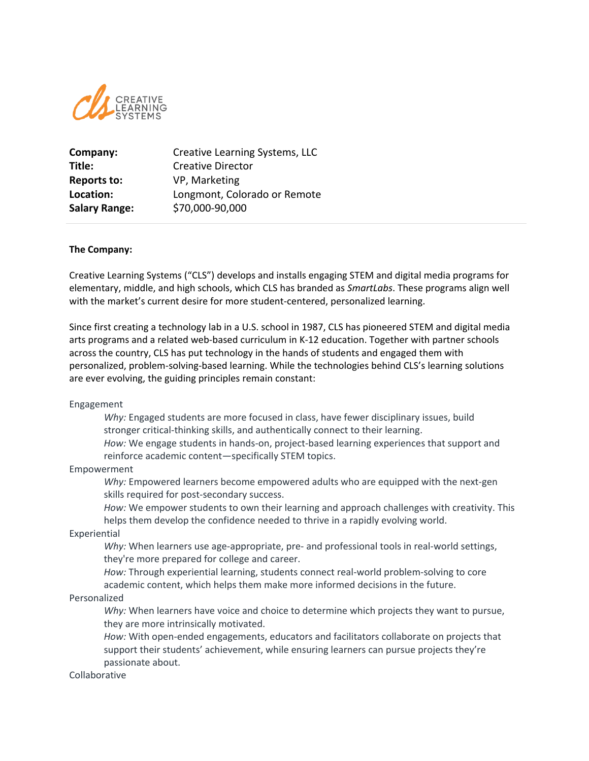

| Company:             | Creative Learning Systems, LLC |
|----------------------|--------------------------------|
| Title:               | <b>Creative Director</b>       |
| <b>Reports to:</b>   | VP, Marketing                  |
| Location:            | Longmont, Colorado or Remote   |
| <b>Salary Range:</b> | \$70,000-90,000                |

#### **The Company:**

Creative Learning Systems ("CLS") develops and installs engaging STEM and digital media programs for elementary, middle, and high schools, which CLS has branded as *SmartLabs*. These programs align well with the market's current desire for more student-centered, personalized learning.

Since first creating a technology lab in a U.S. school in 1987, CLS has pioneered STEM and digital media arts programs and a related web-based curriculum in K-12 education. Together with partner schools across the country, CLS has put technology in the hands of students and engaged them with personalized, problem-solving-based learning. While the technologies behind CLS's learning solutions are ever evolving, the guiding principles remain constant:

Engagement

*Why:* Engaged students are more focused in class, have fewer disciplinary issues, build stronger critical-thinking skills, and authentically connect to their learning.

*How:* We engage students in hands-on, project-based learning experiences that support and reinforce academic content—specifically STEM topics.

#### Empowerment

*Why:* Empowered learners become empowered adults who are equipped with the next-gen skills required for post-secondary success.

*How:* We empower students to own their learning and approach challenges with creativity. This helps them develop the confidence needed to thrive in a rapidly evolving world.

Experiential

*Why:* When learners use age-appropriate, pre- and professional tools in real-world settings, they're more prepared for college and career.

*How:* Through experiential learning, students connect real-world problem-solving to core academic content, which helps them make more informed decisions in the future.

## Personalized

*Why:* When learners have voice and choice to determine which projects they want to pursue, they are more intrinsically motivated.

*How:* With open-ended engagements, educators and facilitators collaborate on projects that support their students' achievement, while ensuring learners can pursue projects they're passionate about.

#### Collaborative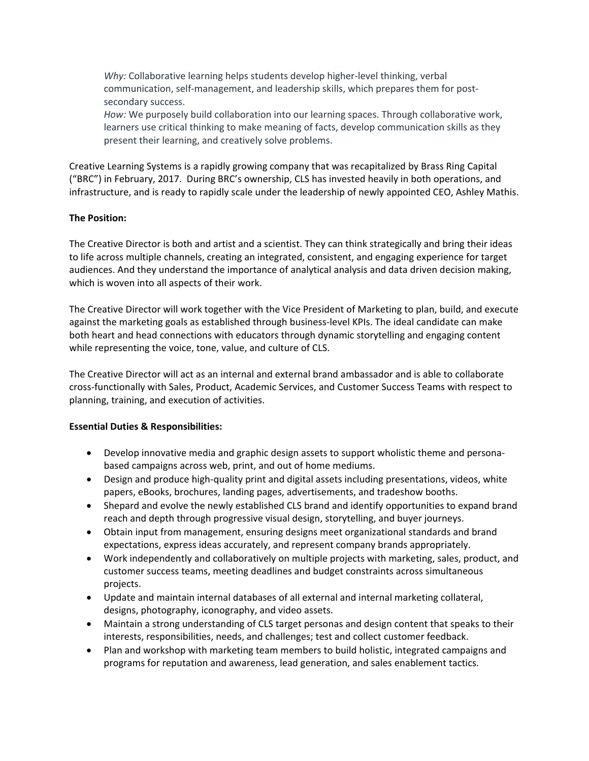*Why:* Collaborative learning helps students develop higher-level thinking, verbal communication, self-management, and leadership skills, which prepares them for postsecondary success.

*How:* We purposely build collaboration into our learning spaces. Through collaborative work, learners use critical thinking to make meaning of facts, develop communication skills as they present their learning, and creatively solve problems.

Creative Learning Systems is a rapidly growing company that was recapitalized by Brass Ring Capital ("BRC") in February, 2017. During BRC's ownership, CLS has invested heavily in both operations, and infrastructure, and is ready to rapidly scale under the leadership of newly appointed CEO, Ashley Mathis.

## **The Position:**

The Creative Director is both and artist and a scientist. They can think strategically and bring their ideas to life across multiple channels, creating an integrated, consistent, and engaging experience for target audiences. And they understand the importance of analytical analysis and data driven decision making, which is woven into all aspects of their work.

The Creative Director will work together with the Vice President of Marketing to plan, build, and execute against the marketing goals as established through business-level KPIs. The ideal candidate can make both heart and head connections with educators through dynamic storytelling and engaging content while representing the voice, tone, value, and culture of CLS.

The Creative Director will act as an internal and external brand ambassador and is able to collaborate cross-functionally with Sales, Product, Academic Services, and Customer Success Teams with respect to planning, training, and execution of activities.

## **Essential Duties & Responsibilities:**

- Develop innovative media and graphic design assets to support wholistic theme and personabased campaigns across web, print, and out of home mediums.
- Design and produce high-quality print and digital assets including presentations, videos, white papers, eBooks, brochures, landing pages, advertisements, and tradeshow booths.
- Shepard and evolve the newly established CLS brand and identify opportunities to expand brand reach and depth through progressive visual design, storytelling, and buyer journeys.
- Obtain input from management, ensuring designs meet organizational standards and brand expectations, express ideas accurately, and represent company brands appropriately.
- Work independently and collaboratively on multiple projects with marketing, sales, product, and customer success teams, meeting deadlines and budget constraints across simultaneous projects.
- Update and maintain internal databases of all external and internal marketing collateral, designs, photography, iconography, and video assets.
- Maintain a strong understanding of CLS target personas and design content that speaks to their interests, responsibilities, needs, and challenges; test and collect customer feedback.
- Plan and workshop with marketing team members to build holistic, integrated campaigns and programs for reputation and awareness, lead generation, and sales enablement tactics.